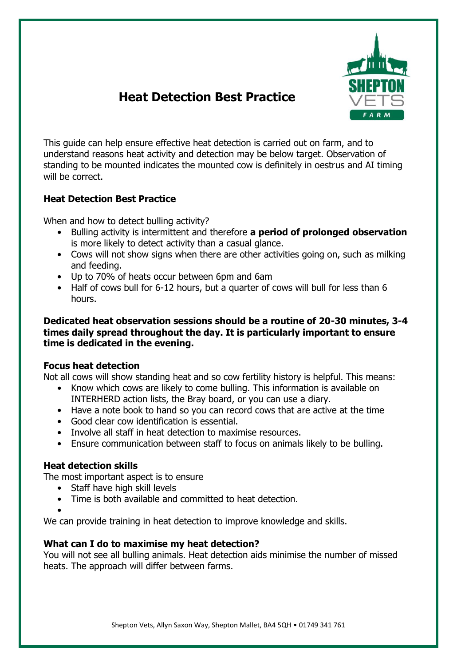

# **Heat Detection Best Practice**

This guide can help ensure effective heat detection is carried out on farm, and to understand reasons heat activity and detection may be below target. Observation of standing to be mounted indicates the mounted cow is definitely in oestrus and AI timing will be correct.

## **Heat Detection Best Practice**

When and how to detect bulling activity?

- Bulling activity is intermittent and therefore **a period of prolonged observation** is more likely to detect activity than a casual glance.
- Cows will not show signs when there are other activities going on, such as milking and feeding.
- Up to 70% of heats occur between 6pm and 6am
- Half of cows bull for 6-12 hours, but a quarter of cows will bull for less than 6 hours.

## **Dedicated heat observation sessions should be a routine of 20-30 minutes, 3-4 times daily spread throughout the day. It is particularly important to ensure time is dedicated in the evening.**

## **Focus heat detection**

Not all cows will show standing heat and so cow fertility history is helpful. This means:

- Know which cows are likely to come bulling. This information is available on INTERHERD action lists, the Bray board, or you can use a diary.
- Have a note book to hand so you can record cows that are active at the time
- Good clear cow identification is essential.
- Involve all staff in heat detection to maximise resources.
- Ensure communication between staff to focus on animals likely to be bulling.

# **Heat detection skills**

The most important aspect is to ensure

- Staff have high skill levels
- Time is both available and committed to heat detection.
- •

We can provide training in heat detection to improve knowledge and skills.

## **What can I do to maximise my heat detection?**

You will not see all bulling animals. Heat detection aids minimise the number of missed heats. The approach will differ between farms.